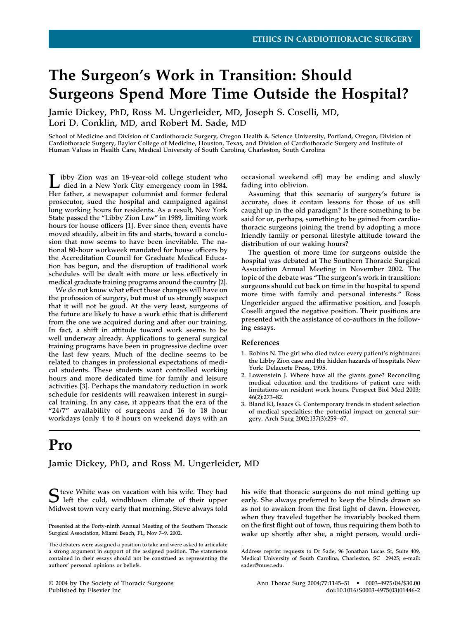## <span id="page-0-0"></span>**The Surgeon's Work in Transition: Should Surgeons Spend More Time Outside the Hospital?**

**Jamie Dickey, PhD, Ross M. Ungerleider, MD, Joseph S. Coselli, MD, Lori D. Conklin, MD, and Robert M. Sade, MD**

**School of Medicine and Division of Cardiothoracic Surgery, Oregon Health & Science University, Portland, Oregon, Division of Cardiothoracic Surgery, Baylor College of Medicine, Houston, Texas, and Division of Cardiothoracic Surgery and Institute of Human Values in Health Care, Medical University of South Carolina, Charleston, South Carolina**

**Libby Zion was an 18-year-old college student who died in a New York City emergency room in 1984. Her father, a newspaper columnist and former federal prosecutor, sued the hospital and campaigned against long working hours for residents. As a result, New York State passed the "Libby Zion Law" in 1989, limiting work hours for house officers [1]. Ever since then, events have moved steadily, albeit in fits and starts, toward a conclusion that now seems to have been inevitable. The national 80-hour workweek mandated for house officers by the Accreditation Council for Graduate Medical Education has begun, and the disruption of traditional work schedules will be dealt with more or less effectively in medical graduate training programs around the country [2].**

**We do not know what effect these changes will have on the profession of surgery, but most of us strongly suspect that it will not be good. At the very least, surgeons of the future are likely to have a work ethic that is different from the one we acquired during and after our training. In fact, a shift in attitude toward work seems to be well underway already. Applications to general surgical training programs have been in progressive decline over the last few years. Much of the decline seems to be related to changes in professional expectations of medical students. These students want controlled working hours and more dedicated time for family and leisure activities [3]. Perhaps the mandatory reduction in work schedule for residents will reawaken interest in surgical training. In any case, it appears that the era of the "24/7" availability of surgeons and 16 to 18 hour workdays (only 4 to 8 hours on weekend days with an**

**occasional weekend off) may be ending and slowly fading into oblivion.**

**Assuming that this scenario of surgery's future is accurate, does it contain lessons for those of us still caught up in the old paradigm? Is there something to be said for or, perhaps, something to be gained from cardiothoracic surgeons joining the trend by adopting a more friendly family or personal lifestyle attitude toward the distribution of our waking hours?**

**The question of more time for surgeons outside the hospital was debated at The Southern Thoracic Surgical Association Annual Meeting in November 2002. The topic of the debate was "The surgeon's work in transition: surgeons should cut back on time in the hospital to spend more time with family and personal interests." Ross Ungerleider argued the affirmative position, and Joseph Coselli argued the negative position. Their positions are presented with the assistance of co-authors in the following essays.**

## **References**

- **1. Robins N. The girl who died twice: every patient's nightmare: the Libby Zion case and the hidden hazards of hospitals. New York: Delacorte Press, 1995.**
- **2. Lowenstein J. Where have all the giants gone? Reconciling medical education and the traditions of patient care with limitations on resident work hours. Perspect Biol Med 2003; 46(2):273–82.**
- **3. Bland KI, Isaacs G. Contemporary trends in student selection of medical specialties: the potential impact on general surgery. Arch Surg 2002;137(3):259–67.**

## **Pro**

**Jamie Dickey, PhD, and Ross M. Ungerleider, MD**

Steve White was on vacation with his wife. They had<br>
left the cold, windblown climate of their upper **Midwest town very early that morning. Steve always told** **his wife that thoracic surgeons do not mind getting up early. She always preferred to keep the blinds drawn so as not to awaken from the first light of dawn. However, when they traveled together he invariably booked them on the first flight out of town, thus requiring them both to wake up shortly after she, a night person, would ordi-**

**Presented at the Forty-ninth Annual Meeting of the Southern Thoracic Surgical Association, Miami Beach, FL, Nov 7–9, 2002.**

**The debaters were assigned a position to take and were asked to articulate a strong argument in support of the assigned position. The statements contained in their essays should not be construed as representing the authors' personal opinions or beliefs.**

**Address reprint requests to Dr Sade, 96 Jonathan Lucas St, Suite 409, Medical University of South Carolina, Charleston, SC 29425; e-mail: sader@musc.edu.**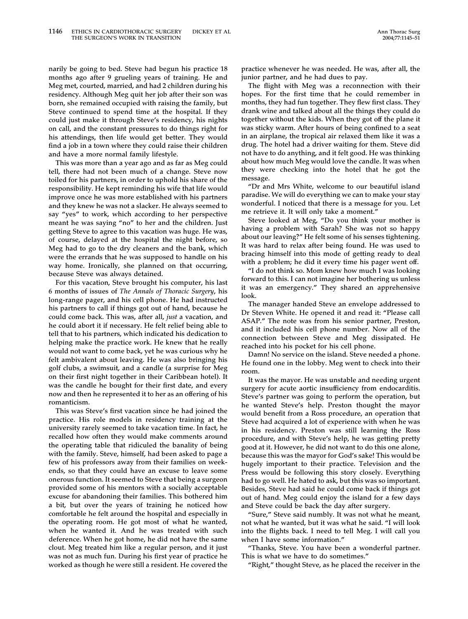**narily be going to bed. Steve had begun his practice 18 months ago after 9 grueling years of training. He and Meg met, courted, married, and had 2 children during his residency. Although Meg quit her job after their son was born, she remained occupied with raising the family, but Steve continued to spend time at the hospital. If they could just make it through Steve's residency, his nights on call, and the constant pressures to do things right for his attendings, then life would get better. They would find a job in a town where they could raise their children and have a more normal family lifestyle.**

**This was more than a year ago and as far as Meg could tell, there had not been much of a change. Steve now toiled for his partners, in order to uphold his share of the responsibility. He kept reminding his wife that life would improve once he was more established with his partners and they knew he was not a slacker. He always seemed to say "yes" to work, which according to her perspective meant he was saying "no" to her and the children. Just getting Steve to agree to this vacation was huge. He was, of course, delayed at the hospital the night before, so Meg had to go to the dry cleaners and the bank, which were the errands that he was supposed to handle on his way home. Ironically, she planned on that occurring, because Steve was always detained.**

**For this vacation, Steve brought his computer, his last 6 months of issues of** *The Annals of Thoracic Surgery***, his long-range pager, and his cell phone. He had instructed his partners to call if things got out of hand, because he could come back. This was, after all,** *just* **a vacation, and he could abort it if necessary. He felt relief being able to tell that to his partners, which indicated his dedication to helping make the practice work. He knew that he really would not want to come back, yet he was curious why he felt ambivalent about leaving. He was also bringing his golf clubs, a swimsuit, and a candle (a surprise for Meg on their first night together in their Caribbean hotel). It was the candle he bought for their first date, and every now and then he represented it to her as an offering of his romanticism.**

**This was Steve's first vacation since he had joined the practice. His role models in residency training at the university rarely seemed to take vacation time. In fact, he recalled how often they would make comments around the operating table that ridiculed the banality of being with the family. Steve, himself, had been asked to page a few of his professors away from their families on weekends, so that they could have an excuse to leave some onerous function. It seemed to Steve that being a surgeon provided some of his mentors with a socially acceptable excuse for abandoning their families. This bothered him a bit, but over the years of training he noticed how comfortable he felt around the hospital and especially in the operating room. He got most of what he wanted, when he wanted it. And he was treated with such deference. When he got home, he did not have the same clout. Meg treated him like a regular person, and it just was not as much fun. During his first year of practice he worked as though he were still a resident. He covered the** **practice whenever he was needed. He was, after all, the junior partner, and he had dues to pay.**

**The flight with Meg was a reconnection with their hopes. For the first time that he could remember in months, they had fun together. They flew first class. They drank wine and talked about all the things they could do together without the kids. When they got off the plane it was sticky warm. After hours of being confined to a seat in an airplane, the tropical air relaxed them like it was a drug. The hotel had a driver waiting for them. Steve did not have to do anything, and it felt good. He was thinking about how much Meg would love the candle. It was when they were checking into the hotel that he got the message.**

**"Dr and Mrs White, welcome to our beautiful island paradise. We will do everything we can to make your stay wonderful. I noticed that there is a message for you. Let me retrieve it. It will only take a moment."**

**Steve looked at Meg, "Do you think your mother is having a problem with Sarah? She was not so happy about our leaving?" He felt some of his senses tightening. It was hard to relax after being found. He was used to bracing himself into this mode of getting ready to deal with a problem; he did it every time his pager went off.**

**"I do not think so. Mom knew how much I was looking forward to this. I can not imagine her bothering us unless it was an emergency." They shared an apprehensive look.**

**The manager handed Steve an envelope addressed to Dr Steven White. He opened it and read it: "Please call ASAP." The note was from his senior partner, Preston, and it included his cell phone number. Now all of the connection between Steve and Meg dissipated. He reached into his pocket for his cell phone.**

**Damn! No service on the island. Steve needed a phone. He found one in the lobby. Meg went to check into their room.**

**It was the mayor. He was unstable and needing urgent surgery for acute aortic insufficiency from endocarditis. Steve's partner was going to perform the operation, but he wanted Steve's help. Preston thought the mayor would benefit from a Ross procedure, an operation that Steve had acquired a lot of experience with when he was in his residency. Preston was still learning the Ross procedure, and with Steve's help, he was getting pretty good at it. However, he did not want to do this one alone, because this was the mayor for God's sake! This would be hugely important to their practice. Television and the Press would be following this story closely. Everything had to go well. He hated to ask, but this was so important. Besides, Steve had said he could come back if things got out of hand. Meg could enjoy the island for a few days and Steve could be back the day after surgery.**

**"Sure," Steve said numbly. It was not what he meant, not what he wanted, but it was what he said. "I will look into the flights back. I need to tell Meg. I will call you when I have some information."**

**"Thanks, Steve. You have been a wonderful partner. This is what we have to do sometimes."**

**"Right," thought Steve, as he placed the receiver in the**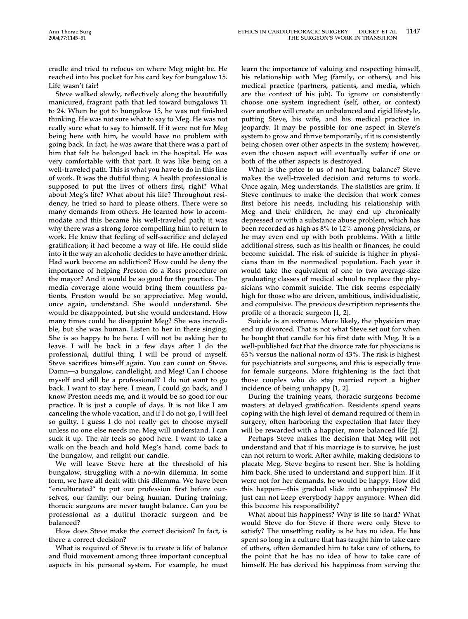**cradle and tried to refocus on where Meg might be. He reached into his pocket for his card key for bungalow 15. Life wasn't fair!**

**Steve walked slowly, reflectively along the beautifully manicured, fragrant path that led toward bungalows 11 to 24. When he got to bungalow 15, he was not finished thinking. He was not sure what to say to Meg. He was not really sure what to say to himself. If it were not for Meg being here with him, he would have no problem with going back. In fact, he was aware that there was a part of him that felt he belonged back in the hospital. He was very comfortable with that part. It was like being on a well-traveled path. This is what you have to do in this line of work. It was the dutiful thing. A health professional is supposed to put the lives of others first, right? What about Meg's life? What about his life? Throughout residency, he tried so hard to please others. There were so many demands from others. He learned how to accommodate and this became his well-traveled path; it was why there was a strong force compelling him to return to work. He knew that feeling of self-sacrifice and delayed gratification; it had become a way of life. He could slide into it the way an alcoholic decides to have another drink. Had work become an addiction? How could he deny the importance of helping Preston do a Ross procedure on the mayor? And it would be so good for the practice. The media coverage alone would bring them countless patients. Preston would be so appreciative. Meg would, once again, understand. She would understand. She would be disappointed, but she would understand. How many times could he disappoint Meg? She was incredible, but she was human. Listen to her in there singing. She is so happy to be here. I will not be asking her to leave. I will be back in a few days after I do the professional, dutiful thing. I will be proud of myself. Steve sacrifices himself again. You can count on Steve. Damn—a bungalow, candlelight, and Meg! Can I choose myself and still be a professional? I do not want to go back. I want to stay here. I mean, I could go back, and I know Preston needs me, and it would be so good for our practice. It is just a couple of days. It is not like I am canceling the whole vacation, and if I do not go, I will feel so guilty. I guess I do not really get to choose myself unless no one else needs me. Meg will understand. I can suck it up. The air feels so good here. I want to take a walk on the beach and hold Meg's hand, come back to the bungalow, and relight our candle.**

**We will leave Steve here at the threshold of his bungalow, struggling with a no-win dilemma. In some form, we have all dealt with this dilemma. We have been "enculturated" to put our profession first before ourselves, our family, our being human. During training, thoracic surgeons are never taught balance. Can you be professional as a dutiful thoracic surgeon and be balanced?**

**How does Steve make the correct decision? In fact, is there a correct decision?**

**What is required of Steve is to create a life of balance and fluid movement among three important conceptual aspects in his personal system. For example, he must** **learn the importance of valuing and respecting himself, his relationship with Meg (family, or others), and his medical practice (partners, patients, and media, which are the context of his job). To ignore or consistently choose one system ingredient (self, other, or context) over another will create an unbalanced and rigid lifestyle, putting Steve, his wife, and his medical practice in jeopardy. It may be possible for one aspect in Steve's system to grow and thrive temporarily, if it is consistently being chosen over other aspects in the system; however, even the chosen aspect will eventually suffer if one or both of the other aspects is destroyed.**

**What is the price to us of not having balance? Steve makes the well-traveled decision and returns to work. Once again, Meg understands. The statistics are grim. If Steve continues to make the decision that work comes first before his needs, including his relationship with Meg and their children, he may end up chronically depressed or with a substance abuse problem, which has been recorded as high as 8% to 12% among physicians, or he may even end up with both problems. With a little additional stress, such as his health or finances, he could become suicidal. The risk of suicide is higher in physicians than in the nonmedical population. Each year it would take the equivalent of one to two average-size graduating classes of medical school to replace the physicians who commit suicide. The risk seems especially high for those who are driven, ambitious, individualistic, and compulsive. The previous description represents the profile of a thoracic surgeon [\[1, 2\].](#page-0-0)**

**Suicide is an extreme. More likely, the physician may end up divorced. That is not what Steve set out for when he bought that candle for his first date with Meg. It is a well-published fact that the divorce rate for physicians is 63% versus the national norm of 43%. The risk is highest for psychiatrists and surgeons, and this is especially true for female surgeons. More frightening is the fact that those couples who do stay married report a higher incidence of being unhappy [\[1, 2\].](#page-0-0)**

**During the training years, thoracic surgeons become masters at delayed gratification. Residents spend years coping with the high level of demand required of them in surgery, often harboring the expectation that later they will be rewarded with a happier, more balanced life [\[2\].](#page-0-0)**

**Perhaps Steve makes the decision that Meg will not understand and that if his marriage is to survive, he just can not return to work. After awhile, making decisions to placate Meg, Steve begins to resent her. She is holding him back. She used to understand and support him. If it were not for her demands, he would be happy. How did this happen—this gradual slide into unhappiness? He just can not keep everybody happy anymore. When did this become his responsibility?**

**What about his happiness? Why is life so hard? What would Steve do for Steve if there were only Steve to satisfy? The unsettling reality is he has no idea. He has spent so long in a culture that has taught him to take care of others, often demanded him to take care of others, to the point that he has no idea of how to take care of himself. He has derived his happiness from serving the**